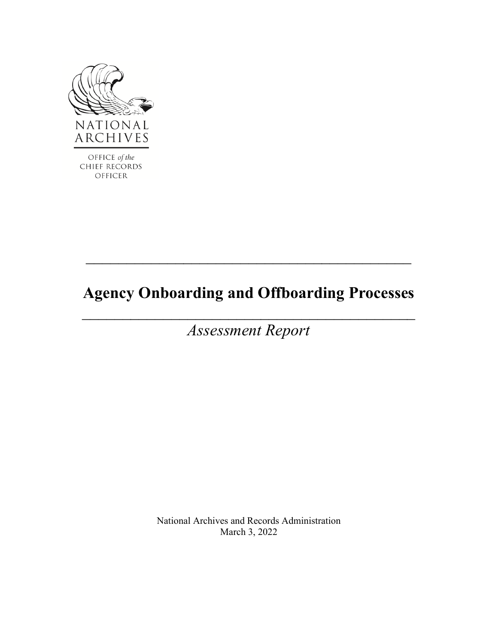

**CHIEF RECORDS** OFFICER

# **Agency Onboarding and Offboarding Processes**

 $\mathcal{L}_\text{max}$  and  $\mathcal{L}_\text{max}$  and  $\mathcal{L}_\text{max}$  and  $\mathcal{L}_\text{max}$  and  $\mathcal{L}_\text{max}$ 

*Assessment Report*

 $\mathcal{L}_\mathcal{L} = \{ \mathcal{L}_\mathcal{L} = \{ \mathcal{L}_\mathcal{L} \} \cup \{ \mathcal{L}_\mathcal{L} = \{ \mathcal{L}_\mathcal{L} \} \cup \{ \mathcal{L}_\mathcal{L} = \{ \mathcal{L}_\mathcal{L} \} \cup \{ \mathcal{L}_\mathcal{L} = \{ \mathcal{L}_\mathcal{L} \} \cup \{ \mathcal{L}_\mathcal{L} = \{ \mathcal{L}_\mathcal{L} \} \cup \{ \mathcal{L}_\mathcal{L} = \{ \mathcal{L}_\mathcal{L} \} \cup \{ \mathcal{L}_\$ 

National Archives and Records Administration March 3, 2022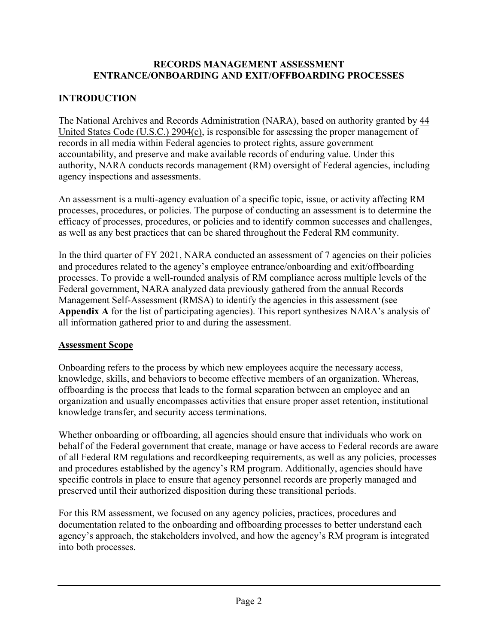#### **RECORDS MANAGEMENT ASSESSMENT ENTRANCE/ONBOARDING AND EXIT/OFFBOARDING PROCESSES**

### **INTRODUCTION**

The National Archives and Records Administration (NARA), based on authority granted by  $\frac{44}{3}$ [United States Code \(U.S.C.\) 2904\(c\),](https://www.archives.gov/about/laws/records-management.html#2904) is responsible for assessing the proper management of records in all media within Federal agencies to protect rights, assure government accountability, and preserve and make available records of enduring value. Under this authority, NARA conducts records management (RM) oversight of Federal agencies, including agency inspections and assessments.

An assessment is a multi-agency evaluation of a specific topic, issue, or activity affecting RM processes, procedures, or policies. The purpose of conducting an assessment is to determine the efficacy of processes, procedures, or policies and to identify common successes and challenges, as well as any best practices that can be shared throughout the Federal RM community.

In the third quarter of FY 2021, NARA conducted an assessment of 7 agencies on their policies and procedures related to the agency's employee entrance/onboarding and exit/offboarding processes. To provide a well-rounded analysis of RM compliance across multiple levels of the Federal government, NARA analyzed data previously gathered from the annual Records Management Self-Assessment (RMSA) to identify the agencies in this assessment (see **Appendix A** for the list of participating agencies). This report synthesizes NARA's analysis of all information gathered prior to and during the assessment.

#### **Assessment Scope**

Onboarding refers to the process by which new employees acquire the necessary access, knowledge, skills, and behaviors to become effective members of an organization. Whereas, offboarding is the process that leads to the formal separation between an employee and an organization and usually encompasses activities that ensure proper asset retention, institutional knowledge transfer, and security access terminations.

Whether onboarding or offboarding, all agencies should ensure that individuals who work on behalf of the Federal government that create, manage or have access to Federal records are aware of all Federal RM regulations and recordkeeping requirements, as well as any policies, processes and procedures established by the agency's RM program. Additionally, agencies should have specific controls in place to ensure that agency personnel records are properly managed and preserved until their authorized disposition during these transitional periods.

For this RM assessment, we focused on any agency policies, practices, procedures and documentation related to the onboarding and offboarding processes to better understand each agency's approach, the stakeholders involved, and how the agency's RM program is integrated into both processes.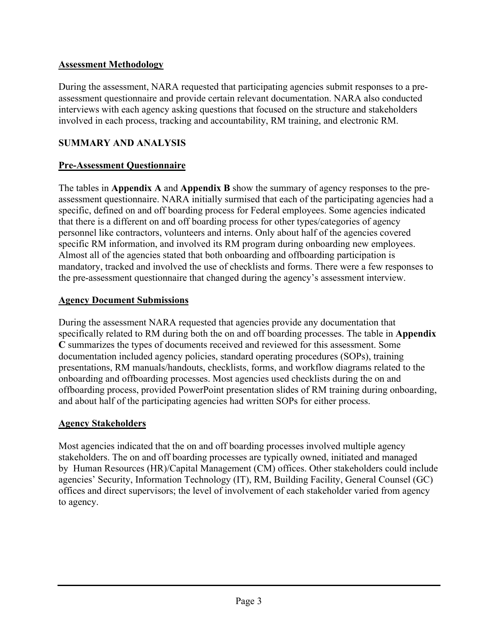#### **Assessment Methodology**

During the assessment, NARA requested that participating agencies submit responses to a preassessment questionnaire and provide certain relevant documentation. NARA also conducted interviews with each agency asking questions that focused on the structure and stakeholders involved in each process, tracking and accountability, RM training, and electronic RM.

#### **SUMMARY AND ANALYSIS**

#### **Pre-Assessment Questionnaire**

The tables in **Appendix A** and **Appendix B** show the summary of agency responses to the preassessment questionnaire. NARA initially surmised that each of the participating agencies had a specific, defined on and off boarding process for Federal employees. Some agencies indicated that there is a different on and off boarding process for other types/categories of agency personnel like contractors, volunteers and interns. Only about half of the agencies covered specific RM information, and involved its RM program during onboarding new employees. Almost all of the agencies stated that both onboarding and offboarding participation is mandatory, tracked and involved the use of checklists and forms. There were a few responses to the pre-assessment questionnaire that changed during the agency's assessment interview.

#### **Agency Document Submissions**

During the assessment NARA requested that agencies provide any documentation that specifically related to RM during both the on and off boarding processes. The table in **Appendix C** summarizes the types of documents received and reviewed for this assessment. Some documentation included agency policies, standard operating procedures (SOPs), training presentations, RM manuals/handouts, checklists, forms, and workflow diagrams related to the onboarding and offboarding processes. Most agencies used checklists during the on and offboarding process, provided PowerPoint presentation slides of RM training during onboarding, and about half of the participating agencies had written SOPs for either process.

#### **Agency Stakeholders**

Most agencies indicated that the on and off boarding processes involved multiple agency stakeholders. The on and off boarding processes are typically owned, initiated and managed by Human Resources (HR)/Capital Management (CM) offices. Other stakeholders could include agencies' Security, Information Technology (IT), RM, Building Facility, General Counsel (GC) offices and direct supervisors; the level of involvement of each stakeholder varied from agency to agency.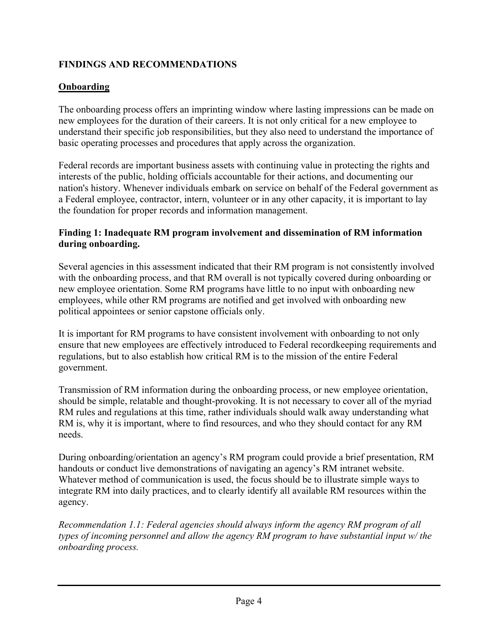#### **FINDINGS AND RECOMMENDATIONS**

### **Onboarding**

The onboarding process offers an imprinting window where lasting impressions can be made on new employees for the duration of their careers. It is not only critical for a new employee to understand their specific job responsibilities, but they also need to understand the importance of basic operating processes and procedures that apply across the organization.

Federal records are important business assets with continuing value in protecting the rights and interests of the public, holding officials accountable for their actions, and documenting our nation's history. Whenever individuals embark on service on behalf of the Federal government as a Federal employee, contractor, intern, volunteer or in any other capacity, it is important to lay the foundation for proper records and information management.

#### **Finding 1: Inadequate RM program involvement and dissemination of RM information during onboarding.**

Several agencies in this assessment indicated that their RM program is not consistently involved with the onboarding process, and that RM overall is not typically covered during onboarding or new employee orientation. Some RM programs have little to no input with onboarding new employees, while other RM programs are notified and get involved with onboarding new political appointees or senior capstone officials only.

It is important for RM programs to have consistent involvement with onboarding to not only ensure that new employees are effectively introduced to Federal recordkeeping requirements and regulations, but to also establish how critical RM is to the mission of the entire Federal government.

Transmission of RM information during the onboarding process, or new employee orientation, should be simple, relatable and thought-provoking. It is not necessary to cover all of the myriad RM rules and regulations at this time, rather individuals should walk away understanding what RM is, why it is important, where to find resources, and who they should contact for any RM needs.

During onboarding/orientation an agency's RM program could provide a brief presentation, RM handouts or conduct live demonstrations of navigating an agency's RM intranet website. Whatever method of communication is used, the focus should be to illustrate simple ways to integrate RM into daily practices, and to clearly identify all available RM resources within the agency.

*Recommendation 1.1: Federal agencies should always inform the agency RM program of all types of incoming personnel and allow the agency RM program to have substantial input w/ the onboarding process.*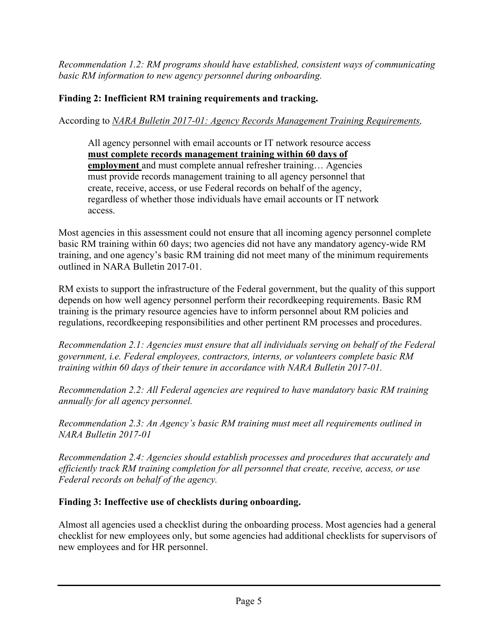*Recommendation 1.2: RM programs should have established, consistent ways of communicating basic RM information to new agency personnel during onboarding.* 

#### **Finding 2: Inefficient RM training requirements and tracking.**

According to *NARA Bulletin 2017-01: Agency Records Management Training Requirements,*

All agency personnel with email accounts or IT network resource access **must complete records management training within 60 days of employment** and must complete annual refresher training… Agencies must provide records management training to all agency personnel that create, receive, access, or use Federal records on behalf of the agency, regardless of whether those individuals have email accounts or IT network access.

Most agencies in this assessment could not ensure that all incoming agency personnel complete basic RM training within 60 days; two agencies did not have any mandatory agency-wide RM training, and one agency's basic RM training did not meet many of the minimum requirements outlined in NARA Bulletin 2017-01.

RM exists to support the infrastructure of the Federal government, but the quality of this support depends on how well agency personnel perform their recordkeeping requirements. Basic RM training is the primary resource agencies have to inform personnel about RM policies and regulations, recordkeeping responsibilities and other pertinent RM processes and procedures.

*Recommendation 2.1: Agencies must ensure that all individuals serving on behalf of the Federal government, i.e. Federal employees, contractors, interns, or volunteers complete basic RM training within 60 days of their tenure in accordance with NARA Bulletin 2017-01.* 

*Recommendation 2.2: All Federal agencies are required to have mandatory basic RM training annually for all agency personnel.*

*Recommendation 2.3: An Agency's basic RM training must meet all requirements outlined in NARA Bulletin 2017-01* 

*Recommendation 2.4: Agencies should establish processes and procedures that accurately and efficiently track RM training completion for all personnel that create, receive, access, or use Federal records on behalf of the agency.* 

#### **Finding 3: Ineffective use of checklists during onboarding.**

Almost all agencies used a checklist during the onboarding process. Most agencies had a general checklist for new employees only, but some agencies had additional checklists for supervisors of new employees and for HR personnel.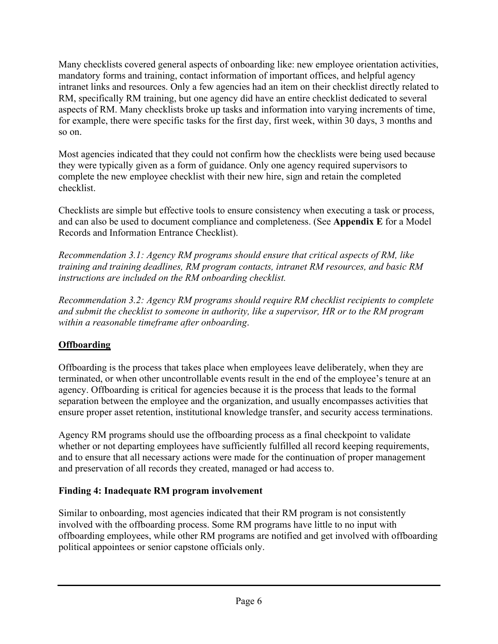Many checklists covered general aspects of onboarding like: new employee orientation activities, mandatory forms and training, contact information of important offices, and helpful agency intranet links and resources. Only a few agencies had an item on their checklist directly related to RM, specifically RM training, but one agency did have an entire checklist dedicated to several aspects of RM. Many checklists broke up tasks and information into varying increments of time, for example, there were specific tasks for the first day, first week, within 30 days, 3 months and so on.

Most agencies indicated that they could not confirm how the checklists were being used because they were typically given as a form of guidance. Only one agency required supervisors to complete the new employee checklist with their new hire, sign and retain the completed checklist.

Checklists are simple but effective tools to ensure consistency when executing a task or process, and can also be used to document compliance and completeness. (See **Appendix E** for a Model Records and Information Entrance Checklist).

*Recommendation 3.1: Agency RM programs should ensure that critical aspects of RM, like training and training deadlines, RM program contacts, intranet RM resources, and basic RM instructions are included on the RM onboarding checklist.* 

*Recommendation 3.2: Agency RM programs should require RM checklist recipients to complete and submit the checklist to someone in authority, like a supervisor, HR or to the RM program within a reasonable timeframe after onboarding*.

### **Offboarding**

Offboarding is the process that takes place when employees leave deliberately, when they are terminated, or when other uncontrollable events result in the end of the employee's tenure at an agency. Offboarding is critical for agencies because it is the process that leads to the formal separation between the employee and the organization, and usually encompasses activities that ensure proper asset retention, institutional knowledge transfer, and security access terminations.

Agency RM programs should use the offboarding process as a final checkpoint to validate whether or not departing employees have sufficiently fulfilled all record keeping requirements, and to ensure that all necessary actions were made for the continuation of proper management and preservation of all records they created, managed or had access to.

#### **Finding 4: Inadequate RM program involvement**

Similar to onboarding, most agencies indicated that their RM program is not consistently involved with the offboarding process. Some RM programs have little to no input with offboarding employees, while other RM programs are notified and get involved with offboarding political appointees or senior capstone officials only.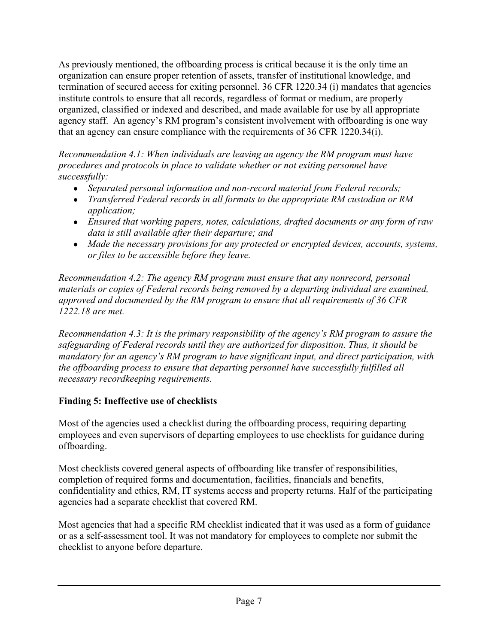As previously mentioned, the offboarding process is critical because it is the only time an organization can ensure proper retention of assets, transfer of institutional knowledge, and termination of secured access for exiting personnel. 36 CFR 1220.34 (i) mandates that agencies institute controls to ensure that all records, regardless of format or medium, are properly organized, classified or indexed and described, and made available for use by all appropriate agency staff. An agency's RM program's consistent involvement with offboarding is one way that an agency can ensure compliance with the requirements of 36 CFR 1220.34(i).

*Recommendation 4.1: When individuals are leaving an agency the RM program must have procedures and protocols in place to validate whether or not exiting personnel have successfully:*

- *Separated personal information and non-record material from Federal records;*
- *Transferred Federal records in all formats to the appropriate RM custodian or RM application;*
- *Ensured that working papers, notes, calculations, drafted documents or any form of raw data is still available after their departure; and*
- *Made the necessary provisions for any protected or encrypted devices, accounts, systems, or files to be accessible before they leave.*

*Recommendation 4.2: The agency RM program must ensure that any nonrecord, personal materials or copies of Federal records being removed by a departing individual are examined, approved and documented by the RM program to ensure that all requirements of 36 CFR 1222.18 are met.* 

*Recommendation 4.3: It is the primary responsibility of the agency's RM program to assure the safeguarding of Federal records until they are authorized for disposition. Thus, it should be mandatory for an agency's RM program to have significant input, and direct participation, with the offboarding process to ensure that departing personnel have successfully fulfilled all necessary recordkeeping requirements.*

#### **Finding 5: Ineffective use of checklists**

Most of the agencies used a checklist during the offboarding process, requiring departing employees and even supervisors of departing employees to use checklists for guidance during offboarding.

Most checklists covered general aspects of offboarding like transfer of responsibilities, completion of required forms and documentation, facilities, financials and benefits, confidentiality and ethics, RM, IT systems access and property returns. Half of the participating agencies had a separate checklist that covered RM.

Most agencies that had a specific RM checklist indicated that it was used as a form of guidance or as a self-assessment tool. It was not mandatory for employees to complete nor submit the checklist to anyone before departure.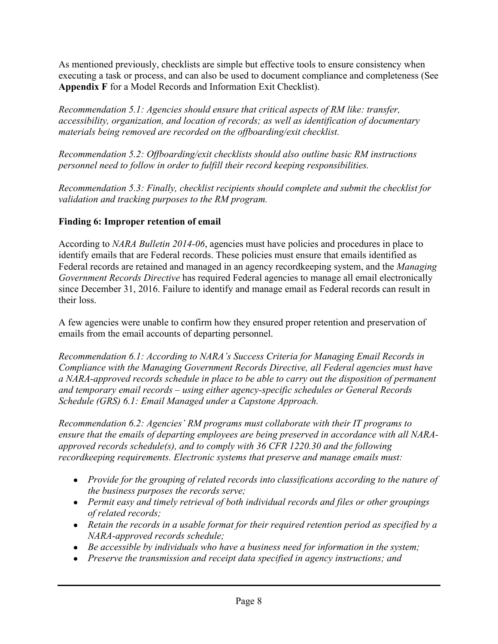As mentioned previously, checklists are simple but effective tools to ensure consistency when executing a task or process, and can also be used to document compliance and completeness (See **Appendix F** for a Model Records and Information Exit Checklist).

*Recommendation 5.1: Agencies should ensure that critical aspects of RM like: transfer, accessibility, organization, and location of records; as well as identification of documentary materials being removed are recorded on the offboarding/exit checklist.* 

*Recommendation 5.2: Offboarding/exit checklists should also outline basic RM instructions personnel need to follow in order to fulfill their record keeping responsibilities.* 

*Recommendation 5.3: Finally, checklist recipients should complete and submit the checklist for validation and tracking purposes to the RM program.* 

#### **Finding 6: Improper retention of email**

According to *NARA Bulletin 2014-06*, agencies must have policies and procedures in place to identify emails that are Federal records. These policies must ensure that emails identified as Federal records are retained and managed in an agency recordkeeping system, and the *Managing Government Records Directive* has required Federal agencies to manage all email electronically since December 31, 2016. Failure to identify and manage email as Federal records can result in their loss.

A few agencies were unable to confirm how they ensured proper retention and preservation of emails from the email accounts of departing personnel.

*Recommendation 6.1: According to NARA's Success Criteria for Managing Email Records in Compliance with the Managing Government Records Directive, all Federal agencies must have a NARA-approved records schedule in place to be able to carry out the disposition of permanent and temporary email records – using either agency-specific schedules or General Records Schedule (GRS) 6.1: Email Managed under a Capstone Approach.* 

*Recommendation 6.2: Agencies' RM programs must collaborate with their IT programs to ensure that the emails of departing employees are being preserved in accordance with all NARAapproved records schedule(s), and to comply with 36 CFR 1220.30 and the following recordkeeping requirements. Electronic systems that preserve and manage emails must:*

- *Provide for the grouping of related records into classifications according to the nature of the business purposes the records serve;*
- *Permit easy and timely retrieval of both individual records and files or other groupings of related records;*
- Retain the records in a usable format for their required retention period as specified by a *NARA-approved records schedule;*
- Be accessible by individuals who have a business need for information in the system;
- *Preserve the transmission and receipt data specified in agency instructions; and*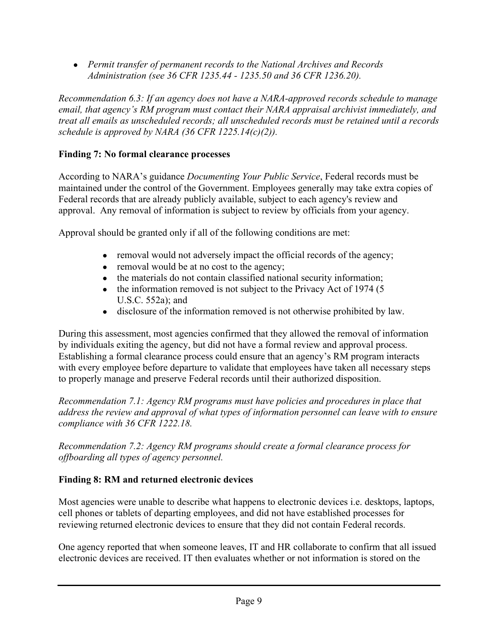● *Permit transfer of permanent records to the National Archives and Records Administration (see 36 CFR 1235.44 - 1235.50 and 36 CFR 1236.20).*

*Recommendation 6.3: If an agency does not have a NARA-approved records schedule to manage email, that agency's RM program must contact their NARA appraisal archivist immediately, and treat all emails as unscheduled records; all unscheduled records must be retained until a records schedule is approved by NARA (36 CFR 1225.14(c)(2)).* 

#### **Finding 7: No formal clearance processes**

According to NARA's guidance *Documenting Your Public Service*, Federal records must be maintained under the control of the Government. Employees generally may take extra copies of Federal records that are already publicly available, subject to each agency's review and approval. Any removal of information is subject to review by officials from your agency.

Approval should be granted only if all of the following conditions are met:

- removal would not adversely impact the official records of the agency;
- removal would be at no cost to the agency;
- the materials do not contain classified national security information;
- the information removed is not subject to the Privacy Act of 1974 (5 U.S.C. 552a); and
- disclosure of the information removed is not otherwise prohibited by law.

During this assessment, most agencies confirmed that they allowed the removal of information by individuals exiting the agency, but did not have a formal review and approval process. Establishing a formal clearance process could ensure that an agency's RM program interacts with every employee before departure to validate that employees have taken all necessary steps to properly manage and preserve Federal records until their authorized disposition.

*Recommendation 7.1: Agency RM programs must have policies and procedures in place that address the review and approval of what types of information personnel can leave with to ensure compliance with 36 CFR 1222.18.* 

*Recommendation 7.2: Agency RM programs should create a formal clearance process for offboarding all types of agency personnel.* 

### **Finding 8: RM and returned electronic devices**

Most agencies were unable to describe what happens to electronic devices i.e. desktops, laptops, cell phones or tablets of departing employees, and did not have established processes for reviewing returned electronic devices to ensure that they did not contain Federal records.

One agency reported that when someone leaves, IT and HR collaborate to confirm that all issued electronic devices are received. IT then evaluates whether or not information is stored on the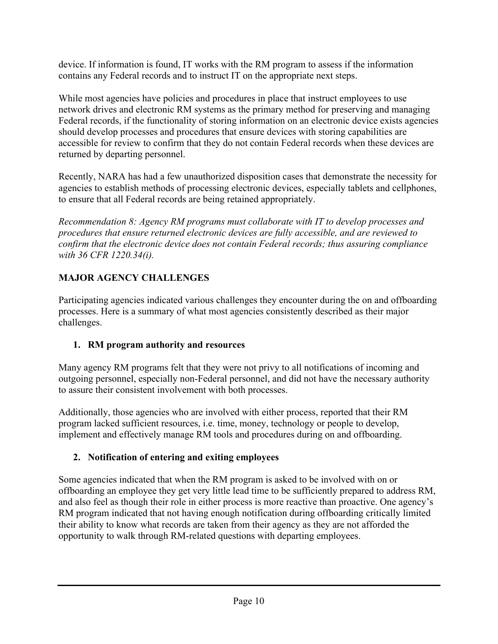device. If information is found, IT works with the RM program to assess if the information contains any Federal records and to instruct IT on the appropriate next steps.

While most agencies have policies and procedures in place that instruct employees to use network drives and electronic RM systems as the primary method for preserving and managing Federal records, if the functionality of storing information on an electronic device exists agencies should develop processes and procedures that ensure devices with storing capabilities are accessible for review to confirm that they do not contain Federal records when these devices are returned by departing personnel.

Recently, NARA has had a few unauthorized disposition cases that demonstrate the necessity for agencies to establish methods of processing electronic devices, especially tablets and cellphones, to ensure that all Federal records are being retained appropriately.

*Recommendation 8: Agency RM programs must collaborate with IT to develop processes and procedures that ensure returned electronic devices are fully accessible, and are reviewed to confirm that the electronic device does not contain Federal records; thus assuring compliance with 36 CFR 1220.34(i).*

### **MAJOR AGENCY CHALLENGES**

Participating agencies indicated various challenges they encounter during the on and offboarding processes. Here is a summary of what most agencies consistently described as their major challenges.

### **1. RM program authority and resources**

Many agency RM programs felt that they were not privy to all notifications of incoming and outgoing personnel, especially non-Federal personnel, and did not have the necessary authority to assure their consistent involvement with both processes.

Additionally, those agencies who are involved with either process, reported that their RM program lacked sufficient resources, i.e. time, money, technology or people to develop, implement and effectively manage RM tools and procedures during on and offboarding.

### **2. Notification of entering and exiting employees**

Some agencies indicated that when the RM program is asked to be involved with on or offboarding an employee they get very little lead time to be sufficiently prepared to address RM, and also feel as though their role in either process is more reactive than proactive. One agency's RM program indicated that not having enough notification during offboarding critically limited their ability to know what records are taken from their agency as they are not afforded the opportunity to walk through RM-related questions with departing employees.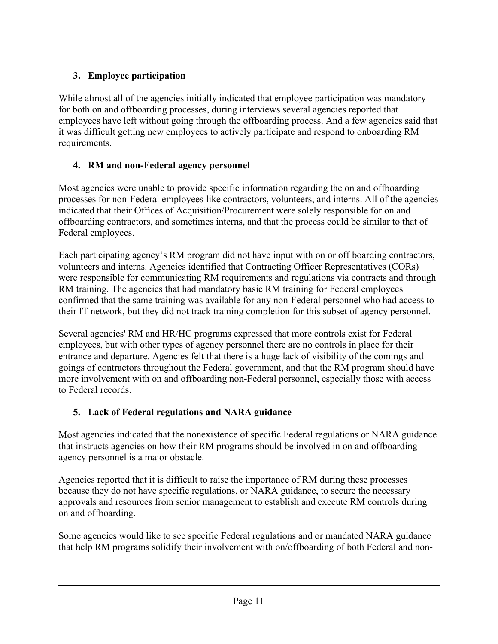### **3. Employee participation**

While almost all of the agencies initially indicated that employee participation was mandatory for both on and offboarding processes, during interviews several agencies reported that employees have left without going through the offboarding process. And a few agencies said that it was difficult getting new employees to actively participate and respond to onboarding RM requirements.

### **4. RM and non-Federal agency personnel**

Most agencies were unable to provide specific information regarding the on and offboarding processes for non-Federal employees like contractors, volunteers, and interns. All of the agencies indicated that their Offices of Acquisition/Procurement were solely responsible for on and offboarding contractors, and sometimes interns, and that the process could be similar to that of Federal employees.

Each participating agency's RM program did not have input with on or off boarding contractors, volunteers and interns. Agencies identified that Contracting Officer Representatives (CORs) were responsible for communicating RM requirements and regulations via contracts and through RM training. The agencies that had mandatory basic RM training for Federal employees confirmed that the same training was available for any non-Federal personnel who had access to their IT network, but they did not track training completion for this subset of agency personnel.

Several agencies' RM and HR/HC programs expressed that more controls exist for Federal employees, but with other types of agency personnel there are no controls in place for their entrance and departure. Agencies felt that there is a huge lack of visibility of the comings and goings of contractors throughout the Federal government, and that the RM program should have more involvement with on and offboarding non-Federal personnel, especially those with access to Federal records.

### **5. Lack of Federal regulations and NARA guidance**

Most agencies indicated that the nonexistence of specific Federal regulations or NARA guidance that instructs agencies on how their RM programs should be involved in on and offboarding agency personnel is a major obstacle.

Agencies reported that it is difficult to raise the importance of RM during these processes because they do not have specific regulations, or NARA guidance, to secure the necessary approvals and resources from senior management to establish and execute RM controls during on and offboarding.

Some agencies would like to see specific Federal regulations and or mandated NARA guidance that help RM programs solidify their involvement with on/offboarding of both Federal and non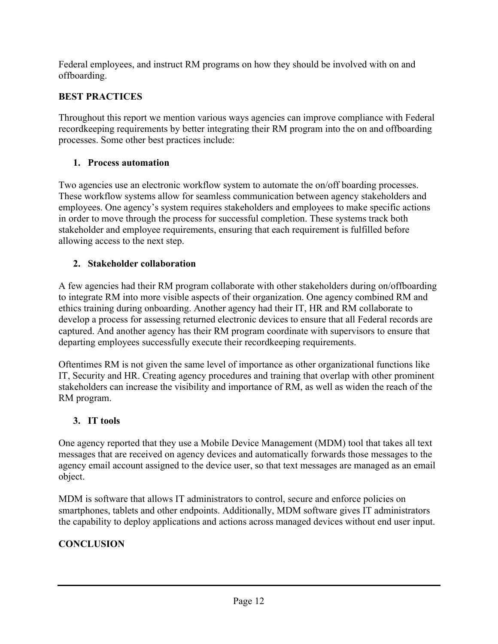Federal employees, and instruct RM programs on how they should be involved with on and offboarding.

### **BEST PRACTICES**

Throughout this report we mention various ways agencies can improve compliance with Federal recordkeeping requirements by better integrating their RM program into the on and offboarding processes. Some other best practices include:

### **1. Process automation**

Two agencies use an electronic workflow system to automate the on/off boarding processes. These workflow systems allow for seamless communication between agency stakeholders and employees. One agency's system requires stakeholders and employees to make specific actions in order to move through the process for successful completion. These systems track both stakeholder and employee requirements, ensuring that each requirement is fulfilled before allowing access to the next step.

### **2. Stakeholder collaboration**

A few agencies had their RM program collaborate with other stakeholders during on/offboarding to integrate RM into more visible aspects of their organization. One agency combined RM and ethics training during onboarding. Another agency had their IT, HR and RM collaborate to develop a process for assessing returned electronic devices to ensure that all Federal records are captured. And another agency has their RM program coordinate with supervisors to ensure that departing employees successfully execute their recordkeeping requirements.

Oftentimes RM is not given the same level of importance as other organizational functions like IT, Security and HR. Creating agency procedures and training that overlap with other prominent stakeholders can increase the visibility and importance of RM, as well as widen the reach of the RM program.

#### **3. IT tools**

One agency reported that they use a Mobile Device Management (MDM) tool that takes all text messages that are received on agency devices and automatically forwards those messages to the agency email account assigned to the device user, so that text messages are managed as an email object.

MDM is software that allows IT administrators to control, secure and enforce policies on smartphones, tablets and other endpoints. Additionally, MDM software gives IT administrators the capability to deploy applications and actions across managed devices without end user input.

### **CONCLUSION**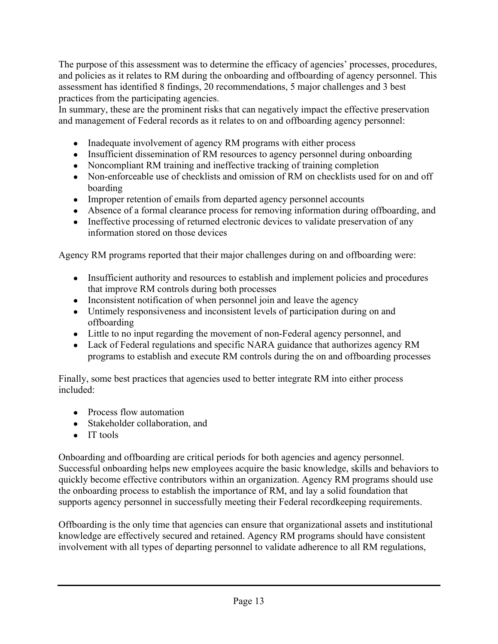The purpose of this assessment was to determine the efficacy of agencies' processes, procedures, and policies as it relates to RM during the onboarding and offboarding of agency personnel. This assessment has identified 8 findings, 20 recommendations, 5 major challenges and 3 best practices from the participating agencies.

In summary, these are the prominent risks that can negatively impact the effective preservation and management of Federal records as it relates to on and offboarding agency personnel:

- Inadequate involvement of agency RM programs with either process
- Insufficient dissemination of RM resources to agency personnel during onboarding
- Noncompliant RM training and ineffective tracking of training completion
- Non-enforceable use of checklists and omission of RM on checklists used for on and off boarding
- Improper retention of emails from departed agency personnel accounts
- Absence of a formal clearance process for removing information during offboarding, and
- Ineffective processing of returned electronic devices to validate preservation of any information stored on those devices

Agency RM programs reported that their major challenges during on and offboarding were:

- Insufficient authority and resources to establish and implement policies and procedures that improve RM controls during both processes
- Inconsistent notification of when personnel join and leave the agency
- Untimely responsiveness and inconsistent levels of participation during on and offboarding
- Little to no input regarding the movement of non-Federal agency personnel, and
- Lack of Federal regulations and specific NARA guidance that authorizes agency RM programs to establish and execute RM controls during the on and offboarding processes

Finally, some best practices that agencies used to better integrate RM into either process included:

- Process flow automation
- Stakeholder collaboration, and
- IT tools

Onboarding and offboarding are critical periods for both agencies and agency personnel. Successful onboarding helps new employees acquire the basic knowledge, skills and behaviors to quickly become effective contributors within an organization. Agency RM programs should use the onboarding process to establish the importance of RM, and lay a solid foundation that supports agency personnel in successfully meeting their Federal recordkeeping requirements.

Offboarding is the only time that agencies can ensure that organizational assets and institutional knowledge are effectively secured and retained. Agency RM programs should have consistent involvement with all types of departing personnel to validate adherence to all RM regulations,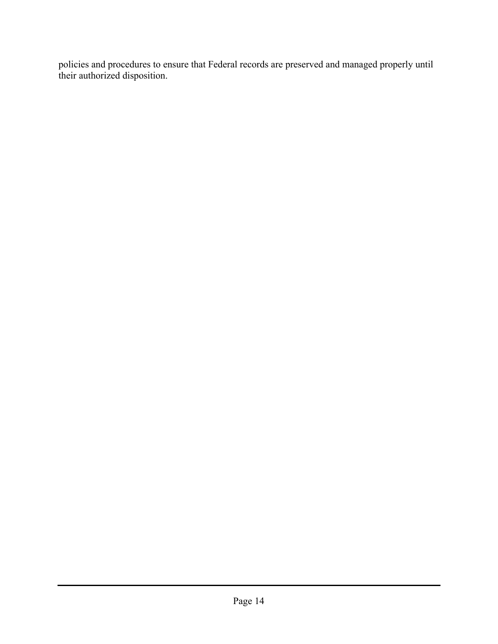policies and procedures to ensure that Federal records are preserved and managed properly until their authorized disposition.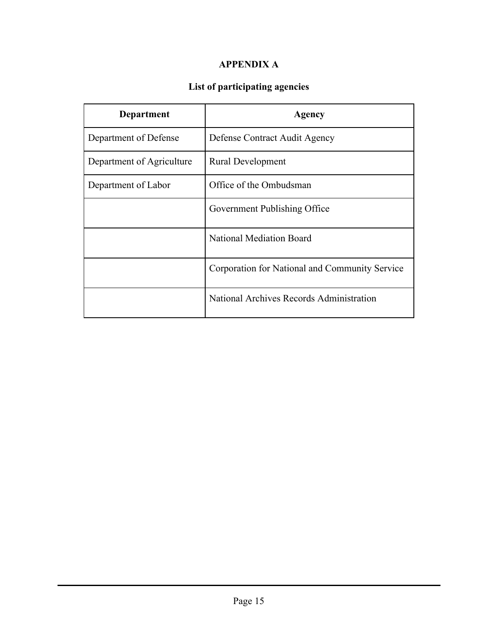#### **APPENDIX A**

# **List of participating agencies**

| Department                | Agency                                         |
|---------------------------|------------------------------------------------|
| Department of Defense     | Defense Contract Audit Agency                  |
| Department of Agriculture | <b>Rural Development</b>                       |
| Department of Labor       | Office of the Ombudsman                        |
|                           | Government Publishing Office                   |
|                           | <b>National Mediation Board</b>                |
|                           | Corporation for National and Community Service |
|                           | National Archives Records Administration       |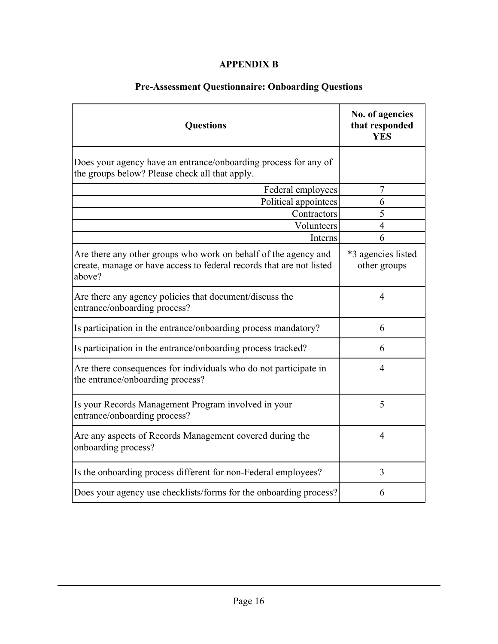#### **APPENDIX B**

| <b>Questions</b>                                                                                                                                  | No. of agencies<br>that responded<br><b>YES</b> |
|---------------------------------------------------------------------------------------------------------------------------------------------------|-------------------------------------------------|
| Does your agency have an entrance/onboarding process for any of<br>the groups below? Please check all that apply.                                 |                                                 |
| Federal employees                                                                                                                                 | 7                                               |
| Political appointees                                                                                                                              | 6                                               |
| Contractors                                                                                                                                       | 5                                               |
| Volunteers                                                                                                                                        | $\overline{4}$                                  |
| Interns                                                                                                                                           | 6                                               |
| Are there any other groups who work on behalf of the agency and<br>create, manage or have access to federal records that are not listed<br>above? | *3 agencies listed<br>other groups              |
| Are there any agency policies that document/discuss the<br>entrance/onboarding process?                                                           | $\overline{4}$                                  |
| Is participation in the entrance/onboarding process mandatory?                                                                                    | 6                                               |
| Is participation in the entrance/onboarding process tracked?                                                                                      | 6                                               |
| Are there consequences for individuals who do not participate in<br>the entrance/onboarding process?                                              | $\overline{4}$                                  |
| Is your Records Management Program involved in your<br>entrance/onboarding process?                                                               | 5                                               |
| Are any aspects of Records Management covered during the<br>onboarding process?                                                                   | $\overline{4}$                                  |
| Is the onboarding process different for non-Federal employees?                                                                                    | 3                                               |
| Does your agency use checklists/forms for the onboarding process?                                                                                 | 6                                               |

# **Pre-Assessment Questionnaire: Onboarding Questions**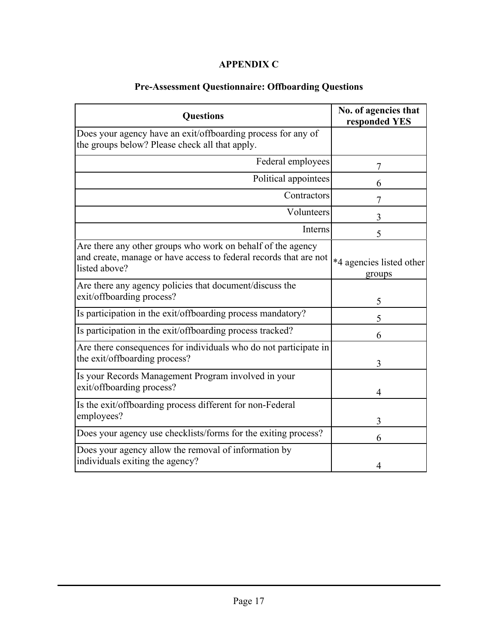#### **APPENDIX C**

| <b>Questions</b>                                                                                                                                  | No. of agencies that<br>responded YES |
|---------------------------------------------------------------------------------------------------------------------------------------------------|---------------------------------------|
| Does your agency have an exit/offboarding process for any of<br>the groups below? Please check all that apply.                                    |                                       |
| Federal employees                                                                                                                                 | 7                                     |
| Political appointees                                                                                                                              | 6                                     |
| Contractors                                                                                                                                       | 7                                     |
| Volunteers                                                                                                                                        | 3                                     |
| Interns                                                                                                                                           | 5                                     |
| Are there any other groups who work on behalf of the agency<br>and create, manage or have access to federal records that are not<br>listed above? | *4 agencies listed other<br>groups    |
| Are there any agency policies that document/discuss the<br>exit/offboarding process?                                                              | 5                                     |
| Is participation in the exit/offboarding process mandatory?                                                                                       | 5                                     |
| Is participation in the exit/offboarding process tracked?                                                                                         | 6                                     |
| Are there consequences for individuals who do not participate in<br>the exit/offboarding process?                                                 | 3                                     |
| Is your Records Management Program involved in your<br>exit/offboarding process?                                                                  | 4                                     |
| Is the exit/offboarding process different for non-Federal<br>employees?                                                                           | 3                                     |
| Does your agency use checklists/forms for the exiting process?                                                                                    | 6                                     |
| Does your agency allow the removal of information by<br>individuals exiting the agency?                                                           | 4                                     |

# **Pre-Assessment Questionnaire: Offboarding Questions**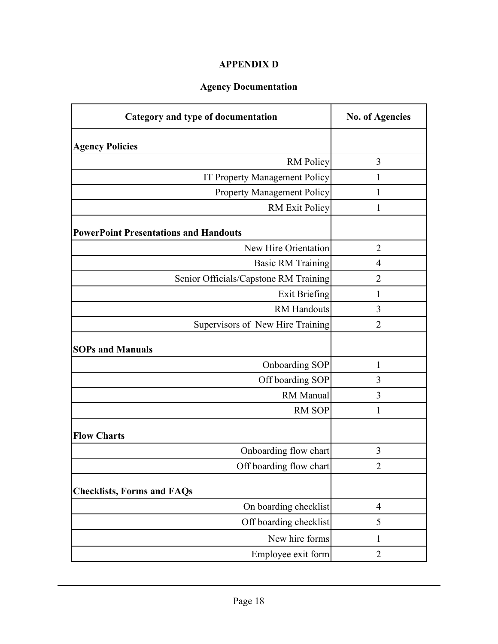#### **APPENDIX D**

### **Agency Documentation**

| Category and type of documentation           | <b>No. of Agencies</b> |
|----------------------------------------------|------------------------|
| <b>Agency Policies</b>                       |                        |
| <b>RM</b> Policy                             | 3                      |
| IT Property Management Policy                | 1                      |
| <b>Property Management Policy</b>            | 1                      |
| <b>RM</b> Exit Policy                        | 1                      |
| <b>PowerPoint Presentations and Handouts</b> |                        |
| New Hire Orientation                         | $\overline{2}$         |
| <b>Basic RM Training</b>                     | $\overline{4}$         |
| Senior Officials/Capstone RM Training        | $\overline{2}$         |
| <b>Exit Briefing</b>                         | $\mathbf{1}$           |
| <b>RM</b> Handouts                           | 3                      |
| Supervisors of New Hire Training             | $\overline{2}$         |
| <b>SOPs and Manuals</b>                      |                        |
| Onboarding SOP                               | 1                      |
| Off boarding SOP                             | 3                      |
| RM Manual                                    | 3                      |
| <b>RM SOP</b>                                | 1                      |
| <b>Flow Charts</b>                           |                        |
| Onboarding flow chart                        | 3                      |
| Off boarding flow chart                      | $\overline{c}$         |
| <b>Checklists, Forms and FAQs</b>            |                        |
| On boarding checklist                        | $\overline{4}$         |
| Off boarding checklist                       | 5                      |
| New hire forms                               | 1                      |
| Employee exit form                           | $\overline{2}$         |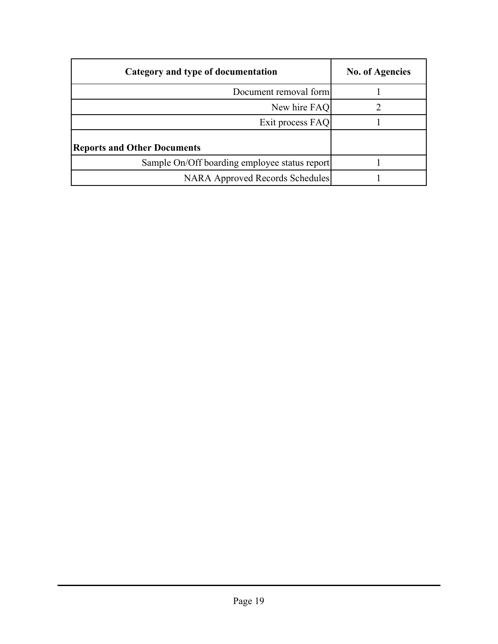| Category and type of documentation            | <b>No. of Agencies</b> |
|-----------------------------------------------|------------------------|
| Document removal form                         |                        |
| New hire FAQ                                  |                        |
| Exit process FAQ                              |                        |
| <b>Reports and Other Documents</b>            |                        |
| Sample On/Off boarding employee status report |                        |
| <b>NARA Approved Records Schedules</b>        |                        |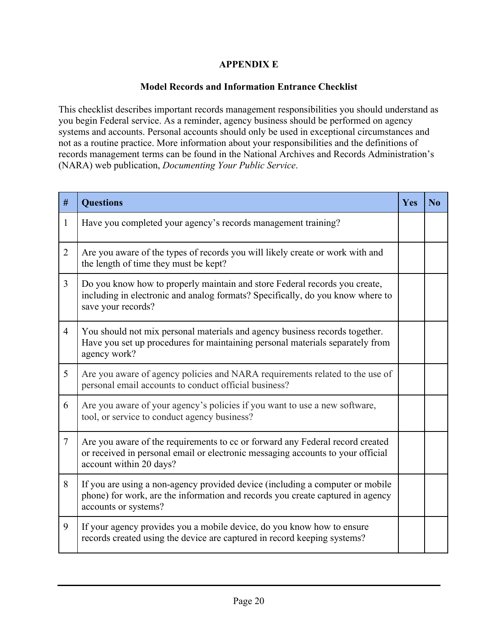#### **APPENDIX E**

#### **Model Records and Information Entrance Checklist**

This checklist describes important records management responsibilities you should understand as you begin Federal service. As a reminder, agency business should be performed on agency systems and accounts. Personal accounts should only be used in exceptional circumstances and not as a routine practice. More information about your responsibilities and the definitions of records management terms can be found in the National Archives and Records Administration's (NARA) web publication, *Documenting Your Public Service*.

| #              | <b>Questions</b>                                                                                                                                                                            | Yes | $\bf N_0$ |
|----------------|---------------------------------------------------------------------------------------------------------------------------------------------------------------------------------------------|-----|-----------|
| $\mathbf{1}$   | Have you completed your agency's records management training?                                                                                                                               |     |           |
| $\overline{2}$ | Are you aware of the types of records you will likely create or work with and<br>the length of time they must be kept?                                                                      |     |           |
| $\overline{3}$ | Do you know how to properly maintain and store Federal records you create,<br>including in electronic and analog formats? Specifically, do you know where to<br>save your records?          |     |           |
| $\overline{4}$ | You should not mix personal materials and agency business records together.<br>Have you set up procedures for maintaining personal materials separately from<br>agency work?                |     |           |
| 5              | Are you aware of agency policies and NARA requirements related to the use of<br>personal email accounts to conduct official business?                                                       |     |           |
| 6              | Are you aware of your agency's policies if you want to use a new software,<br>tool, or service to conduct agency business?                                                                  |     |           |
| $\overline{7}$ | Are you aware of the requirements to cc or forward any Federal record created<br>or received in personal email or electronic messaging accounts to your official<br>account within 20 days? |     |           |
| 8              | If you are using a non-agency provided device (including a computer or mobile<br>phone) for work, are the information and records you create captured in agency<br>accounts or systems?     |     |           |
| 9              | If your agency provides you a mobile device, do you know how to ensure<br>records created using the device are captured in record keeping systems?                                          |     |           |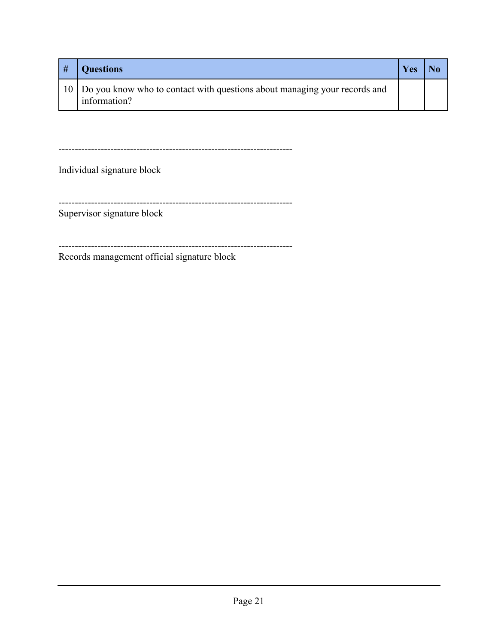| # | <b>Questions</b>                                                                             | Yes |  |
|---|----------------------------------------------------------------------------------------------|-----|--|
|   | 10 Do you know who to contact with questions about managing your records and<br>information? |     |  |

------------------------------------------------------------------------

Individual signature block

------------------------------------------------------------------------

Supervisor signature block

------------------------------------------------------------------------

Records management official signature block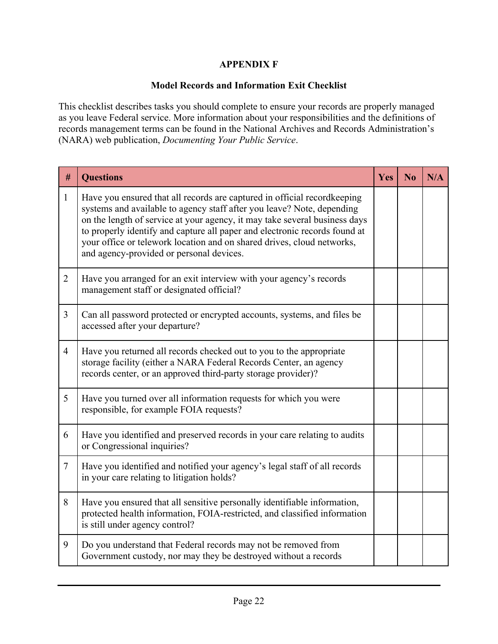#### **APPENDIX F**

#### **Model Records and Information Exit Checklist**

This checklist describes tasks you should complete to ensure your records are properly managed as you leave Federal service. More information about your responsibilities and the definitions of records management terms can be found in the National Archives and Records Administration's (NARA) web publication, *Documenting Your Public Service*.

| #              | <b>Questions</b>                                                                                                                                                                                                                                                                                                                                                                                                                     | Yes | No | N/A |
|----------------|--------------------------------------------------------------------------------------------------------------------------------------------------------------------------------------------------------------------------------------------------------------------------------------------------------------------------------------------------------------------------------------------------------------------------------------|-----|----|-----|
| $\mathbf{1}$   | Have you ensured that all records are captured in official recordkeeping<br>systems and available to agency staff after you leave? Note, depending<br>on the length of service at your agency, it may take several business days<br>to properly identify and capture all paper and electronic records found at<br>your office or telework location and on shared drives, cloud networks,<br>and agency-provided or personal devices. |     |    |     |
| $\overline{2}$ | Have you arranged for an exit interview with your agency's records<br>management staff or designated official?                                                                                                                                                                                                                                                                                                                       |     |    |     |
| $\overline{3}$ | Can all password protected or encrypted accounts, systems, and files be<br>accessed after your departure?                                                                                                                                                                                                                                                                                                                            |     |    |     |
| $\overline{4}$ | Have you returned all records checked out to you to the appropriate<br>storage facility (either a NARA Federal Records Center, an agency<br>records center, or an approved third-party storage provider)?                                                                                                                                                                                                                            |     |    |     |
| 5              | Have you turned over all information requests for which you were<br>responsible, for example FOIA requests?                                                                                                                                                                                                                                                                                                                          |     |    |     |
| 6              | Have you identified and preserved records in your care relating to audits<br>or Congressional inquiries?                                                                                                                                                                                                                                                                                                                             |     |    |     |
| $\overline{7}$ | Have you identified and notified your agency's legal staff of all records<br>in your care relating to litigation holds?                                                                                                                                                                                                                                                                                                              |     |    |     |
| 8              | Have you ensured that all sensitive personally identifiable information,<br>protected health information, FOIA-restricted, and classified information<br>is still under agency control?                                                                                                                                                                                                                                              |     |    |     |
| 9              | Do you understand that Federal records may not be removed from<br>Government custody, nor may they be destroyed without a records                                                                                                                                                                                                                                                                                                    |     |    |     |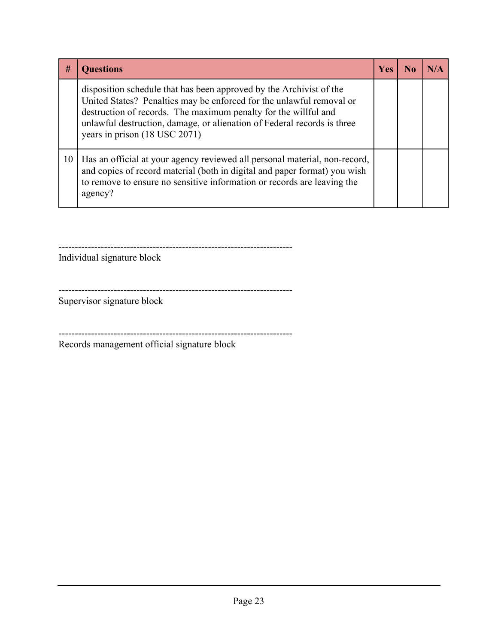| #  | <b>Questions</b>                                                                                                                                                                                                                                                                                                           | <b>Yes</b> | No. |  |
|----|----------------------------------------------------------------------------------------------------------------------------------------------------------------------------------------------------------------------------------------------------------------------------------------------------------------------------|------------|-----|--|
|    | disposition schedule that has been approved by the Archivist of the<br>United States? Penalties may be enforced for the unlawful removal or<br>destruction of records. The maximum penalty for the willful and<br>unlawful destruction, damage, or alienation of Federal records is three<br>years in prison (18 USC 2071) |            |     |  |
| 10 | Has an official at your agency reviewed all personal material, non-record,<br>and copies of record material (both in digital and paper format) you wish<br>to remove to ensure no sensitive information or records are leaving the<br>agency?                                                                              |            |     |  |

------------------------------------------------------------------------

Individual signature block

Supervisor signature block

------------------------------------------------------------------------

Records management official signature block